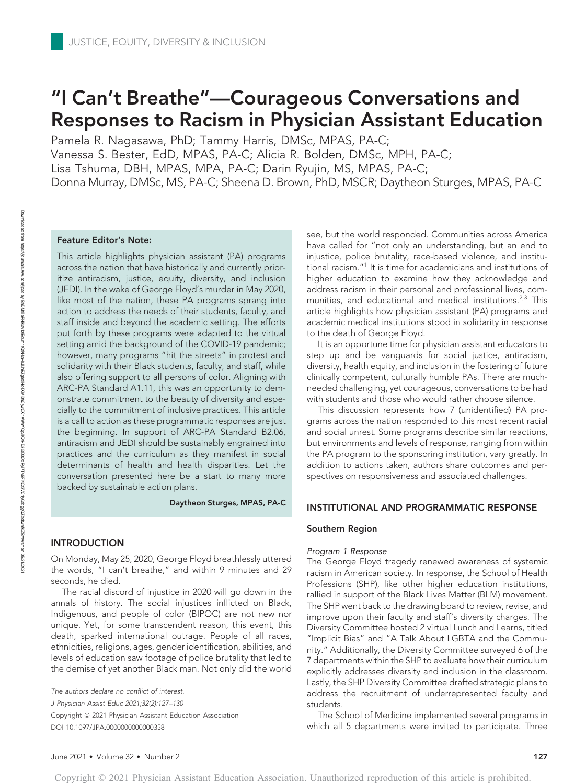# "I Can't Breathe"—Courageous Conversations and Responses to Racism in Physician Assistant Education

Pamela R. Nagasawa, PhD; Tammy Harris, DMSc, MPAS, PA-C; Vanessa S. Bester, EdD, MPAS, PA-C; Alicia R. Bolden, DMSc, MPH, PA-C; Lisa Tshuma, DBH, MPAS, MPA, PA-C; Darin Ryujin, MS, MPAS, PA-C; Donna Murray, DMSc, MS, PA-C; Sheena D. Brown, PhD, MSCR; Daytheon Sturges, MPAS, PA-C

### Feature Editor's Note:

This article highlights physician assistant (PA) programs across the nation that have historically and currently prioritize antiracism, justice, equity, diversity, and inclusion (JEDI). In the wake of George Floyd's murder in May 2020, like most of the nation, these PA programs sprang into action to address the needs of their students, faculty, and staff inside and beyond the academic setting. The efforts put forth by these programs were adapted to the virtual setting amid the background of the COVID-19 pandemic; however, many programs "hit the streets" in protest and solidarity with their Black students, faculty, and staff, while also offering support to all persons of color. Aligning with ARC-PA Standard A1.11, this was an opportunity to demonstrate commitment to the beauty of diversity and especially to the commitment of inclusive practices. This article is a call to action as these programmatic responses are just the beginning. In support of ARC-PA Standard B2.06, antiracism and JEDI should be sustainably engrained into practices and the curriculum as they manifest in social determinants of health and health disparities. Let the conversation presented here be a start to many more backed by sustainable action plans.

Daytheon Sturges, MPAS, PA-C

## INTRODUCTION

On Monday, May 25, 2020, George Floyd breathlessly uttered the words, "I can't breathe," and within 9 minutes and 29 seconds, he died.

The racial discord of injustice in 2020 will go down in the annals of history. The social injustices inflicted on Black, Indigenous, and people of color (BIPOC) are not new nor unique. Yet, for some transcendent reason, this event, this death, sparked international outrage. People of all races, ethnicities, religions, ages, gender identification, abilities, and levels of education saw footage of police brutality that led to the demise of yet another Black man. Not only did the world

The authors declare no conflict of interest.

J Physician Assist Educ 2021;32(2):127–130

Copyright © 2021 Physician Assistant Education Association DOI 10.1097/JPA.0000000000000358

see, but the world responded. Communities across America have called for "not only an understanding, but an end to injustice, police brutality, race-based violence, and institutional racism."<sup>1</sup> It is time for academicians and institutions of higher education to examine how they acknowledge and address racism in their personal and professional lives, communities, and educational and medical institutions.<sup>2,3</sup> This article highlights how physician assistant (PA) programs and academic medical institutions stood in solidarity in response to the death of George Floyd.

It is an opportune time for physician assistant educators to step up and be vanguards for social justice, antiracism, diversity, health equity, and inclusion in the fostering of future clinically competent, culturally humble PAs. There are muchneeded challenging, yet courageous, conversations to be had with students and those who would rather choose silence.

This discussion represents how 7 (unidentified) PA programs across the nation responded to this most recent racial and social unrest. Some programs describe similar reactions, but environments and levels of response, ranging from within the PA program to the sponsoring institution, vary greatly. In addition to actions taken, authors share outcomes and perspectives on responsiveness and associated challenges.

### INSTITUTIONAL AND PROGRAMMATIC RESPONSE

### Southern Region

Program 1 Response The George Floyd tragedy renewed awareness of systemic racism in American society. In response, the School of Health Professions (SHP), like other higher education institutions, rallied in support of the Black Lives Matter (BLM) movement. The SHP went back to the drawing board to review, revise, and improve upon their faculty and staff's diversity charges. The Diversity Committee hosted 2 virtual Lunch and Learns, titled "Implicit Bias" and "A Talk About LGBTA and the Community." Additionally, the Diversity Committee surveyed 6 of the 7 departments within the SHP to evaluate how their curriculum explicitly addresses diversity and inclusion in the classroom. Lastly, the SHP Diversity Committee drafted strategic plans to address the recruitment of underrepresented faculty and students.

The School of Medicine implemented several programs in which all 5 departments were invited to participate. Three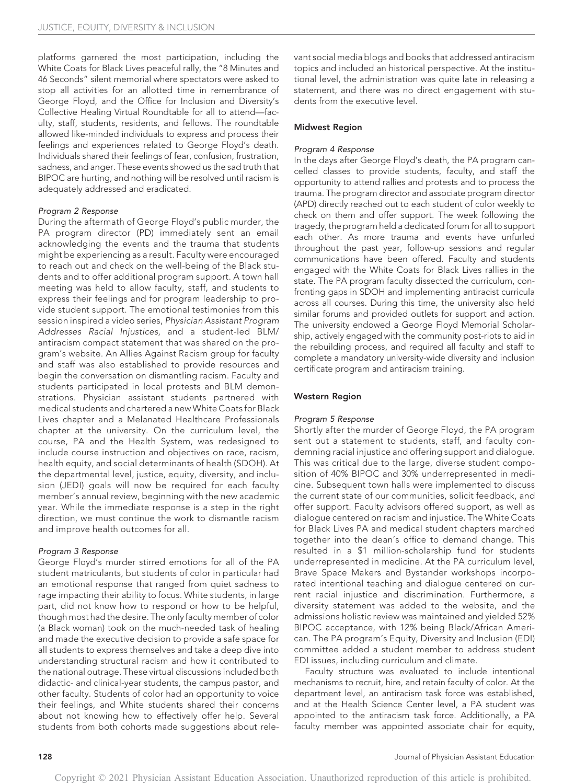platforms garnered the most participation, including the White Coats for Black Lives peaceful rally, the "8 Minutes and 46 Seconds" silent memorial where spectators were asked to stop all activities for an allotted time in remembrance of George Floyd, and the Office for Inclusion and Diversity's Collective Healing Virtual Roundtable for all to attend—faculty, staff, students, residents, and fellows. The roundtable allowed like-minded individuals to express and process their feelings and experiences related to George Floyd's death. Individuals shared their feelings of fear, confusion, frustration, sadness, and anger. These events showed us the sad truth that BIPOC are hurting, and nothing will be resolved until racism is adequately addressed and eradicated.

Program 2 Response During the aftermath of George Floyd's public murder, the PA program director (PD) immediately sent an email acknowledging the events and the trauma that students might be experiencing as a result. Faculty were encouraged to reach out and check on the well-being of the Black students and to offer additional program support. A town hall meeting was held to allow faculty, staff, and students to express their feelings and for program leadership to provide student support. The emotional testimonies from this session inspired a video series, Physician Assistant Program Addresses Racial Injustices, and a student-led BLM/ antiracism compact statement that was shared on the program's website. An Allies Against Racism group for faculty and staff was also established to provide resources and begin the conversation on dismantling racism. Faculty and students participated in local protests and BLM demonstrations. Physician assistant students partnered with medical students and chartered a new White Coats for Black Lives chapter and a Melanated Healthcare Professionals chapter at the university. On the curriculum level, the course, PA and the Health System, was redesigned to include course instruction and objectives on race, racism, health equity, and social determinants of health (SDOH). At the departmental level, justice, equity, diversity, and inclusion (JEDI) goals will now be required for each faculty member's annual review, beginning with the new academic year. While the immediate response is a step in the right direction, we must continue the work to dismantle racism and improve health outcomes for all.

Program 3 Response George Floyd's murder stirred emotions for all of the PA student matriculants, but students of color in particular had an emotional response that ranged from quiet sadness to rage impacting their ability to focus. White students, in large part, did not know how to respond or how to be helpful, though most had the desire. The only faculty member of color (a Black woman) took on the much-needed task of healing and made the executive decision to provide a safe space for all students to express themselves and take a deep dive into understanding structural racism and how it contributed to the national outrage. These virtual discussions included both didactic- and clinical-year students, the campus pastor, and other faculty. Students of color had an opportunity to voice their feelings, and White students shared their concerns about not knowing how to effectively offer help. Several students from both cohorts made suggestions about rele-

vant social media blogs and books that addressed antiracism topics and included an historical perspective. At the institutional level, the administration was quite late in releasing a statement, and there was no direct engagement with students from the executive level.

### Midwest Region

Program 4 Response In the days after George Floyd's death, the PA program cancelled classes to provide students, faculty, and staff the opportunity to attend rallies and protests and to process the trauma. The program director and associate program director (APD) directly reached out to each student of color weekly to check on them and offer support. The week following the tragedy, the program held a dedicated forum for all to support each other. As more trauma and events have unfurled throughout the past year, follow-up sessions and regular communications have been offered. Faculty and students engaged with the White Coats for Black Lives rallies in the state. The PA program faculty dissected the curriculum, confronting gaps in SDOH and implementing antiracist curricula across all courses. During this time, the university also held similar forums and provided outlets for support and action. The university endowed a George Floyd Memorial Scholarship, actively engaged with the community post-riots to aid in the rebuilding process, and required all faculty and staff to complete a mandatory university-wide diversity and inclusion certificate program and antiracism training.

### Western Region

Program 5 Response Shortly after the murder of George Floyd, the PA program sent out a statement to students, staff, and faculty condemning racial injustice and offering support and dialogue. This was critical due to the large, diverse student composition of 40% BIPOC and 30% underrepresented in medicine. Subsequent town halls were implemented to discuss the current state of our communities, solicit feedback, and offer support. Faculty advisors offered support, as well as dialogue centered on racism and injustice. The White Coats for Black Lives PA and medical student chapters marched together into the dean's office to demand change. This resulted in a \$1 million-scholarship fund for students underrepresented in medicine. At the PA curriculum level, Brave Space Makers and Bystander workshops incorporated intentional teaching and dialogue centered on current racial injustice and discrimination. Furthermore, a diversity statement was added to the website, and the admissions holistic review was maintained and yielded 52% BIPOC acceptance, with 12% being Black/African American. The PA program's Equity, Diversity and Inclusion (EDI) committee added a student member to address student EDI issues, including curriculum and climate.

Faculty structure was evaluated to include intentional mechanisms to recruit, hire, and retain faculty of color. At the department level, an antiracism task force was established, and at the Health Science Center level, a PA student was appointed to the antiracism task force. Additionally, a PA faculty member was appointed associate chair for equity,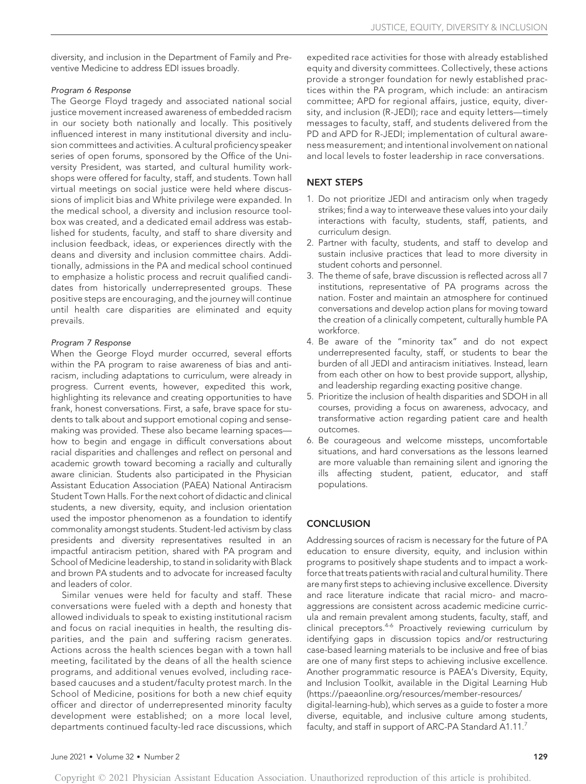diversity, and inclusion in the Department of Family and Preventive Medicine to address EDI issues broadly.

The George Floyd tragedy and associated national social justice movement increased awareness of embedded racism in our society both nationally and locally. This positively influenced interest in many institutional diversity and inclusion committees and activities. A cultural proficiency speaker series of open forums, sponsored by the Office of the University President, was started, and cultural humility workshops were offered for faculty, staff, and students. Town hall virtual meetings on social justice were held where discussions of implicit bias and White privilege were expanded. In the medical school, a diversity and inclusion resource toolbox was created, and a dedicated email address was established for students, faculty, and staff to share diversity and inclusion feedback, ideas, or experiences directly with the deans and diversity and inclusion committee chairs. Additionally, admissions in the PA and medical school continued to emphasize a holistic process and recruit qualified candidates from historically underrepresented groups. These positive steps are encouraging, and the journey will continue until health care disparities are eliminated and equity prevails.

....<sub>........................</sub>.......<br>When the George Floyd murder occurred, several efforts within the PA program to raise awareness of bias and antiracism, including adaptations to curriculum, were already in progress. Current events, however, expedited this work, highlighting its relevance and creating opportunities to have frank, honest conversations. First, a safe, brave space for students to talk about and support emotional coping and sensemaking was provided. These also became learning spaces how to begin and engage in difficult conversations about racial disparities and challenges and reflect on personal and academic growth toward becoming a racially and culturally aware clinician. Students also participated in the Physician Assistant Education Association (PAEA) National Antiracism Student Town Halls. For the next cohort of didactic and clinical students, a new diversity, equity, and inclusion orientation used the impostor phenomenon as a foundation to identify commonality amongst students. Student-led activism by class presidents and diversity representatives resulted in an impactful antiracism petition, shared with PA program and School of Medicine leadership, to stand in solidarity with Black and brown PA students and to advocate for increased faculty and leaders of color.

Similar venues were held for faculty and staff. These conversations were fueled with a depth and honesty that allowed individuals to speak to existing institutional racism and focus on racial inequities in health, the resulting disparities, and the pain and suffering racism generates. Actions across the health sciences began with a town hall meeting, facilitated by the deans of all the health science programs, and additional venues evolved, including racebased caucuses and a student/faculty protest march. In the School of Medicine, positions for both a new chief equity officer and director of underrepresented minority faculty development were established; on a more local level, departments continued faculty-led race discussions, which expedited race activities for those with already established equity and diversity committees. Collectively, these actions provide a stronger foundation for newly established practices within the PA program, which include: an antiracism committee; APD for regional affairs, justice, equity, diversity, and inclusion (R-JEDI); race and equity letters—timely messages to faculty, staff, and students delivered from the PD and APD for R-JEDI; implementation of cultural awareness measurement; and intentional involvement on national and local levels to foster leadership in race conversations.

# NEXT STEPS

- 1. Do not prioritize JEDI and antiracism only when tragedy strikes; find a way to interweave these values into your daily interactions with faculty, students, staff, patients, and curriculum design.
- 2. Partner with faculty, students, and staff to develop and sustain inclusive practices that lead to more diversity in student cohorts and personnel.
- 3. The theme of safe, brave discussion is reflected across all 7 institutions, representative of PA programs across the nation. Foster and maintain an atmosphere for continued conversations and develop action plans for moving toward the creation of a clinically competent, culturally humble PA workforce.
- 4. Be aware of the "minority tax" and do not expect underrepresented faculty, staff, or students to bear the burden of all JEDI and antiracism initiatives. Instead, learn from each other on how to best provide support, allyship, and leadership regarding exacting positive change.
- 5. Prioritize the inclusion of health disparities and SDOH in all courses, providing a focus on awareness, advocacy, and transformative action regarding patient care and health outcomes.
- 6. Be courageous and welcome missteps, uncomfortable situations, and hard conversations as the lessons learned are more valuable than remaining silent and ignoring the ills affecting student, patient, educator, and staff populations.

# **CONCLUSION**

Addressing sources of racism is necessary for the future of PA education to ensure diversity, equity, and inclusion within programs to positively shape students and to impact a workforce that treats patients with racial and cultural humility. There are many first steps to achieving inclusive excellence. Diversity and race literature indicate that racial micro- and macroaggressions are consistent across academic medicine curricula and remain prevalent among students, faculty, staff, and clinical preceptors.<sup>4-6</sup> Proactively reviewing curriculum by identifying gaps in discussion topics and/or restructuring case-based learning materials to be inclusive and free of bias are one of many first steps to achieving inclusive excellence. Another programmatic resource is PAEA's Diversity, Equity, and Inclusion Toolkit, available in the Digital Learning Hub (https://paeaonline.org/resources/member-resources/ digital-learning-hub), which serves as a guide to foster a more diverse, equitable, and inclusive culture among students, faculty, and staff in support of ARC-PA Standard A1.11.<sup>7</sup>